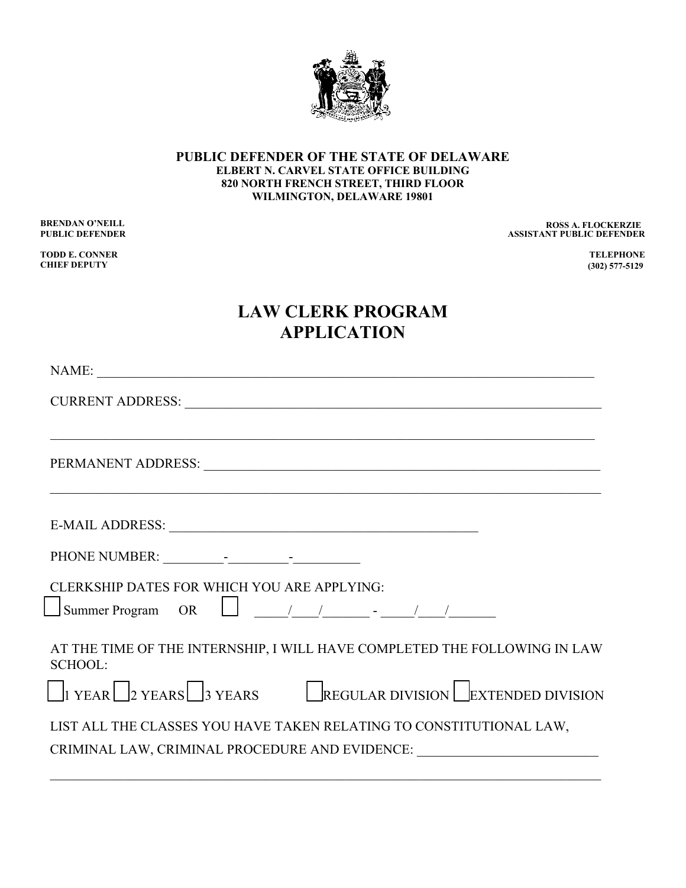

## **PUBLIC DEFENDER OF THE STATE OF DELAWARE ELBERT N. CARVEL STATE OFFICE BUILDING 820 NORTH FRENCH STREET, THIRD FLOOR WILMINGTON, DELAWARE 19801**

**TODD E. CONNER TELEPHONE CHIEF DEPUTY** 

## **BRENDAN O'NEILL ROSS A. FLOCKERZIE PUBLIC DEFENDER ASSISTANT PUBLIC DEFENDER ROSS A. FLOCKERZIE**

(302) 468-5047 302 **(302) 468-5047 (302) 468-5047 (302) 468-5047 (302) 468-5047 (302) 577-5129**

## **LAW CLERK PROGRAM APPLICATION**

| CURRENT ADDRESS: NATIONAL SERVICES CONTRACT AND RESIDENCE OF A SERVICE OF A SERVICE OF A SERVICE OF A SERVICE OF A SERVICE OF A SERVICE OF A SERVICE OF A SERVICE OF A SERVICE OF A SERVICE OF A SERVICE OF A SERVICE OF A SER |
|--------------------------------------------------------------------------------------------------------------------------------------------------------------------------------------------------------------------------------|
|                                                                                                                                                                                                                                |
| PERMANENT ADDRESS: University of the contract of the contract of the contract of the contract of the contract of the contract of the contract of the contract of the contract of the contract of the contract of the contract  |
|                                                                                                                                                                                                                                |
|                                                                                                                                                                                                                                |
| CLERKSHIP DATES FOR WHICH YOU ARE APPLYING:                                                                                                                                                                                    |
| $\Box$ Summer Program OR $\Box$ $\Box$ $\Box$                                                                                                                                                                                  |
| AT THE TIME OF THE INTERNSHIP, I WILL HAVE COMPLETED THE FOLLOWING IN LAW<br><b>SCHOOL:</b>                                                                                                                                    |
| $\Box$ I YEAR $\Box$ 2 YEARS $\Box$ 3 YEARS REGULAR DIVISION $\Box$ EXTENDED DIVISION                                                                                                                                          |
| LIST ALL THE CLASSES YOU HAVE TAKEN RELATING TO CONSTITUTIONAL LAW,                                                                                                                                                            |
| CRIMINAL LAW, CRIMINAL PROCEDURE AND EVIDENCE: _________________________________                                                                                                                                               |
|                                                                                                                                                                                                                                |